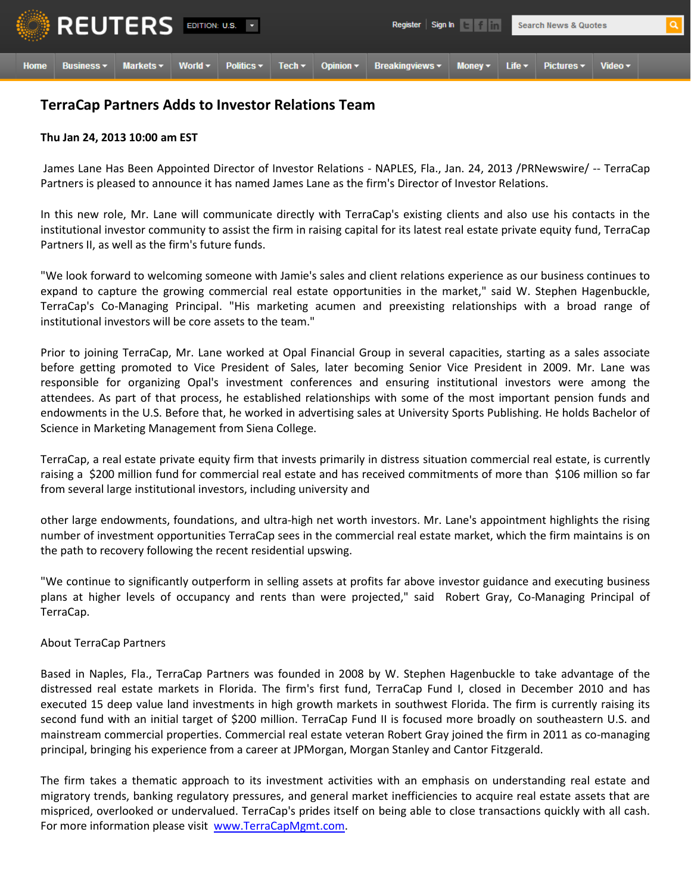

## **TerraCap Partners Adds to Investor Relations Team**

## **Thu Jan 24, 2013 10:00 am EST**

James Lane Has Been Appointed Director of Investor Relations - NAPLES, Fla., Jan. 24, 2013 /PRNewswire/ -- TerraCap Partners is pleased to announce it has named James Lane as the firm's Director of Investor Relations.

In this new role, Mr. Lane will communicate directly with TerraCap's existing clients and also use his contacts in the institutional investor community to assist the firm in raising capital for its latest real estate private equity fund, TerraCap Partners II, as well as the firm's future funds.

"We look forward to welcoming someone with Jamie's sales and client relations experience as our business continues to expand to capture the growing commercial real estate opportunities in the market," said W. Stephen Hagenbuckle, TerraCap's Co-Managing Principal. "His marketing acumen and preexisting relationships with a broad range of institutional investors will be core assets to the team."

Prior to joining TerraCap, Mr. Lane worked at Opal Financial Group in several capacities, starting as a sales associate before getting promoted to Vice President of Sales, later becoming Senior Vice President in 2009. Mr. Lane was responsible for organizing Opal's investment conferences and ensuring institutional investors were among the attendees. As part of that process, he established relationships with some of the most important pension funds and endowments in the U.S. Before that, he worked in advertising sales at University Sports Publishing. He holds Bachelor of Science in Marketing Management from Siena College.

TerraCap, a real estate private equity firm that invests primarily in distress situation commercial real estate, is currently raising a \$200 million fund for commercial real estate and has received commitments of more than \$106 million so far from several large institutional investors, including university and

other large endowments, foundations, and ultra-high net worth investors. Mr. Lane's appointment highlights the rising number of investment opportunities TerraCap sees in the commercial real estate market, which the firm maintains is on the path to recovery following the recent residential upswing.

"We continue to significantly outperform in selling assets at profits far above investor guidance and executing business plans at higher levels of occupancy and rents than were projected," said Robert Gray, Co-Managing Principal of TerraCap.

## About TerraCap Partners

Based in Naples, Fla., TerraCap Partners was founded in 2008 by W. Stephen Hagenbuckle to take advantage of the distressed real estate markets in Florida. The firm's first fund, TerraCap Fund I, closed in December 2010 and has executed 15 deep value land investments in high growth markets in southwest Florida. The firm is currently raising its second fund with an initial target of \$200 million. TerraCap Fund II is focused more broadly on southeastern U.S. and mainstream commercial properties. Commercial real estate veteran Robert Gray joined the firm in 2011 as co-managing principal, bringing his experience from a career at JPMorgan, Morgan Stanley and Cantor Fitzgerald.

The firm takes a thematic approach to its investment activities with an emphasis on understanding real estate and migratory trends, banking regulatory pressures, and general market inefficiencies to acquire real estate assets that are mispriced, overlooked or undervalued. TerraCap's prides itself on being able to close transactions quickly with all cash. For more information please visit [www.TerraCapMgmt.com.](http://www.terracapmgmt.com/)